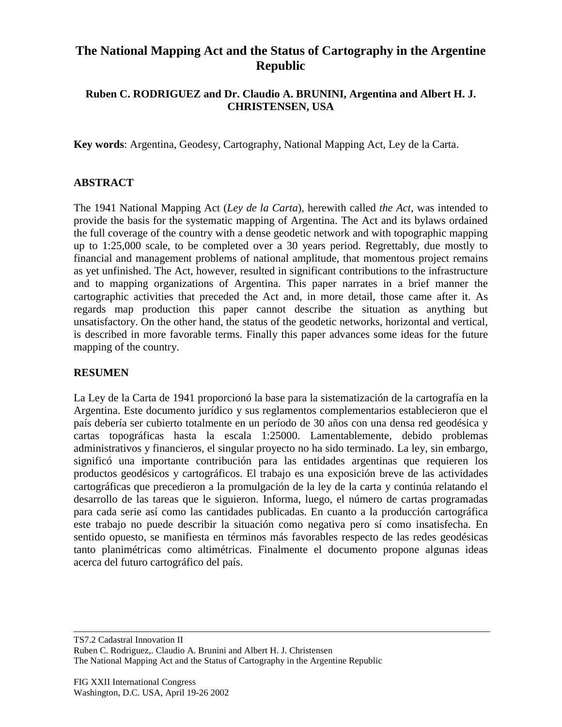# **The National Mapping Act and the Status of Cartography in the Argentine Republic**

## **Ruben C. RODRIGUEZ and Dr. Claudio A. BRUNINI, Argentina and Albert H. J. CHRISTENSEN, USA**

**Key words**: Argentina, Geodesy, Cartography, National Mapping Act, Ley de la Carta.

## **ABSTRACT**

The 1941 National Mapping Act (*Ley de la Carta*), herewith called *the Act*, was intended to provide the basis for the systematic mapping of Argentina. The Act and its bylaws ordained the full coverage of the country with a dense geodetic network and with topographic mapping up to 1:25,000 scale, to be completed over a 30 years period. Regrettably, due mostly to financial and management problems of national amplitude, that momentous project remains as yet unfinished. The Act, however, resulted in significant contributions to the infrastructure and to mapping organizations of Argentina. This paper narrates in a brief manner the cartographic activities that preceded the Act and, in more detail, those came after it. As regards map production this paper cannot describe the situation as anything but unsatisfactory. On the other hand, the status of the geodetic networks, horizontal and vertical, is described in more favorable terms. Finally this paper advances some ideas for the future mapping of the country.

#### **RESUMEN**

La Ley de la Carta de 1941 proporcionó la base para la sistematización de la cartografía en la Argentina. Este documento jurídico y sus reglamentos complementarios establecieron que el país debería ser cubierto totalmente en un período de 30 años con una densa red geodésica y cartas topográficas hasta la escala 1:25000. Lamentablemente, debido problemas administrativos y financieros, el singular proyecto no ha sido terminado. La ley, sin embargo, significó una importante contribución para las entidades argentinas que requieren los productos geodésicos y cartográficos. El trabajo es una exposición breve de las actividades cartográficas que precedieron a la promulgación de la ley de la carta y continúa relatando el desarrollo de las tareas que le siguieron. Informa, luego, el número de cartas programadas para cada serie así como las cantidades publicadas. En cuanto a la producción cartográfica este trabajo no puede describir la situación como negativa pero sí como insatisfecha. En sentido opuesto, se manifiesta en términos más favorables respecto de las redes geodésicas tanto planimétricas como altimétricas. Finalmente el documento propone algunas ideas acerca del futuro cartográfico del país.

TS7.2 Cadastral Innovation II Ruben C. Rodriguez,. Claudio A. Brunini and Albert H. J. Christensen The National Mapping Act and the Status of Cartography in the Argentine Republic